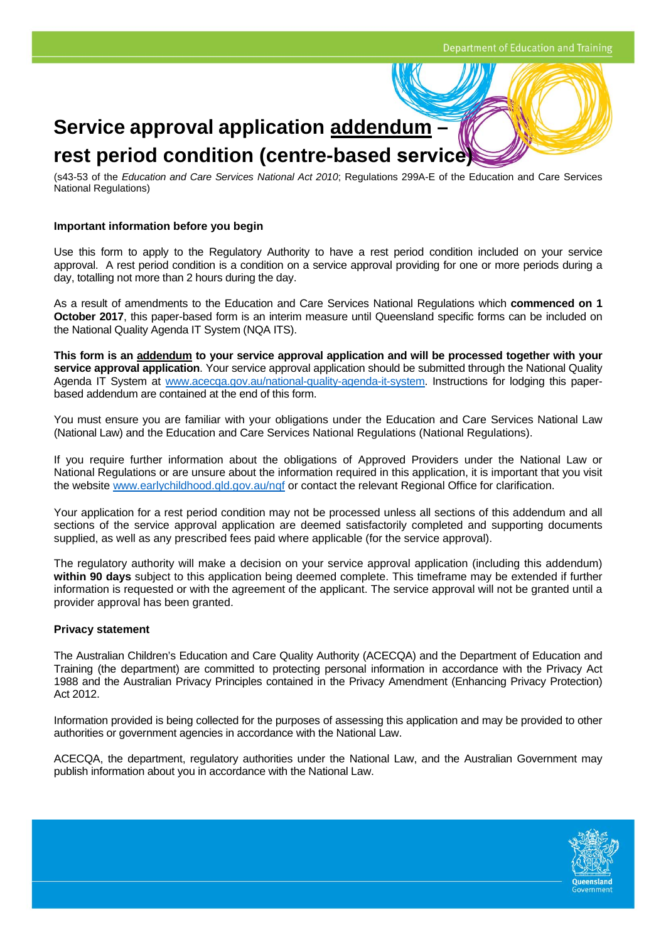# **Service approval application addendum – rest period condition (centre-based service)**

(s43-53 of the *Education and Care Services National Act 2010*; Regulations 299A-E of the Education and Care Services National Regulations)

#### **Important information before you begin**

Use this form to apply to the Regulatory Authority to have a rest period condition included on your service approval. A rest period condition is a condition on a service approval providing for one or more periods during a day, totalling not more than 2 hours during the day.

As a result of amendments to the Education and Care Services National Regulations which **commenced on 1 October 2017**, this paper-based form is an interim measure until Queensland specific forms can be included on the National Quality Agenda IT System (NQA ITS).

**This form is an addendum to your service approval application and will be processed together with your service approval application**. Your service approval application should be submitted through the National Quality Agenda IT System at www.acecqa.gov.au/national-quality-agenda-it-system. Instructions for lodging this paperbased addendum are contained at the end of this form.

You must ensure you are familiar with your obligations under the Education and Care Services National Law (National Law) and the Education and Care Services National Regulations (National Regulations).

If you require further information about the obligations of Approved Providers under the National Law or National Regulations or are unsure about the information required in this application, it is important that you visit the website www.earlychildhood.gld.gov.au/ngf or contact the relevant Regional Office for clarification.

Your application for a rest period condition may not be processed unless all sections of this addendum and all sections of the service approval application are deemed satisfactorily completed and supporting documents supplied, as well as any prescribed fees paid where applicable (for the service approval).

The regulatory authority will make a decision on your service approval application (including this addendum) **within 90 days** subject to this application being deemed complete. This timeframe may be extended if further information is requested or with the agreement of the applicant. The service approval will not be granted until a provider approval has been granted.

#### **Privacy statement**

The Australian Children's Education and Care Quality Authority (ACECQA) and the Department of Education and Training (the department) are committed to protecting personal information in accordance with the Privacy Act 1988 and the Australian Privacy Principles contained in the Privacy Amendment (Enhancing Privacy Protection) Act 2012.

Information provided is being collected for the purposes of assessing this application and may be provided to other authorities or government agencies in accordance with the National Law.

ACECQA, the department, regulatory authorities under the National Law, and the Australian Government may publish information about you in accordance with the National Law.

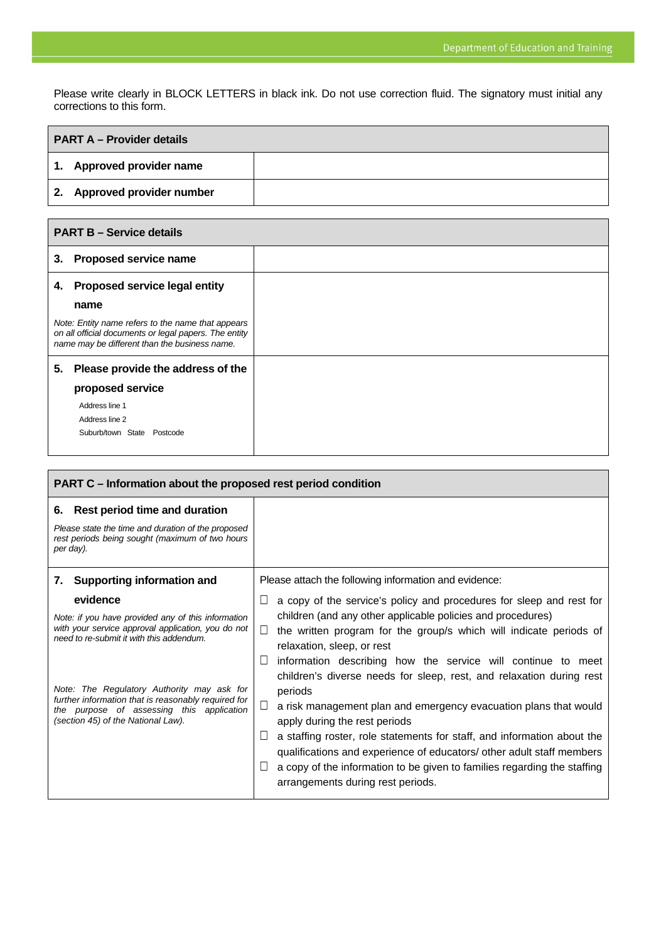Please write clearly in BLOCK LETTERS in black ink. Do not use correction fluid. The signatory must initial any corrections to this form.

| <b>PART A – Provider details</b> |                             |  |
|----------------------------------|-----------------------------|--|
|                                  | 1. Approved provider name   |  |
|                                  | 2. Approved provider number |  |

Г

| <b>PART B - Service details</b>                                                                                                                             |                                      |  |
|-------------------------------------------------------------------------------------------------------------------------------------------------------------|--------------------------------------|--|
| 3.                                                                                                                                                          | <b>Proposed service name</b>         |  |
| 4.                                                                                                                                                          | <b>Proposed service legal entity</b> |  |
|                                                                                                                                                             | name                                 |  |
| Note: Entity name refers to the name that appears<br>on all official documents or legal papers. The entity<br>name may be different than the business name. |                                      |  |
| 5.                                                                                                                                                          | Please provide the address of the    |  |
|                                                                                                                                                             | proposed service                     |  |
|                                                                                                                                                             | Address line 1                       |  |
|                                                                                                                                                             | Address line 2                       |  |
|                                                                                                                                                             | Suburb/town State Postcode           |  |

| PART C – Information about the proposed rest period condition                                                                                                                        |                                                                                                                                                                                                                                                                                                                                                                                                     |  |  |  |
|--------------------------------------------------------------------------------------------------------------------------------------------------------------------------------------|-----------------------------------------------------------------------------------------------------------------------------------------------------------------------------------------------------------------------------------------------------------------------------------------------------------------------------------------------------------------------------------------------------|--|--|--|
| 6. Rest period time and duration<br>Please state the time and duration of the proposed<br>rest periods being sought (maximum of two hours<br>per day).                               |                                                                                                                                                                                                                                                                                                                                                                                                     |  |  |  |
| <b>Supporting information and</b><br>7.                                                                                                                                              | Please attach the following information and evidence:                                                                                                                                                                                                                                                                                                                                               |  |  |  |
| evidence<br>Note: if you have provided any of this information<br>with your service approval application, you do not<br>need to re-submit it with this addendum.                     | a copy of the service's policy and procedures for sleep and rest for<br>⊔<br>children (and any other applicable policies and procedures)<br>the written program for the group/s which will indicate periods of<br>П<br>relaxation, sleep, or rest<br>information describing how the service will continue to meet<br>$\Box$<br>children's diverse needs for sleep, rest, and relaxation during rest |  |  |  |
| Note: The Regulatory Authority may ask for<br>further information that is reasonably required for<br>the purpose of assessing this application<br>(section 45) of the National Law). | periods<br>a risk management plan and emergency evacuation plans that would<br>apply during the rest periods<br>a staffing roster, role statements for staff, and information about the<br>qualifications and experience of educators/ other adult staff members<br>a copy of the information to be given to families regarding the staffing<br>arrangements during rest periods.                   |  |  |  |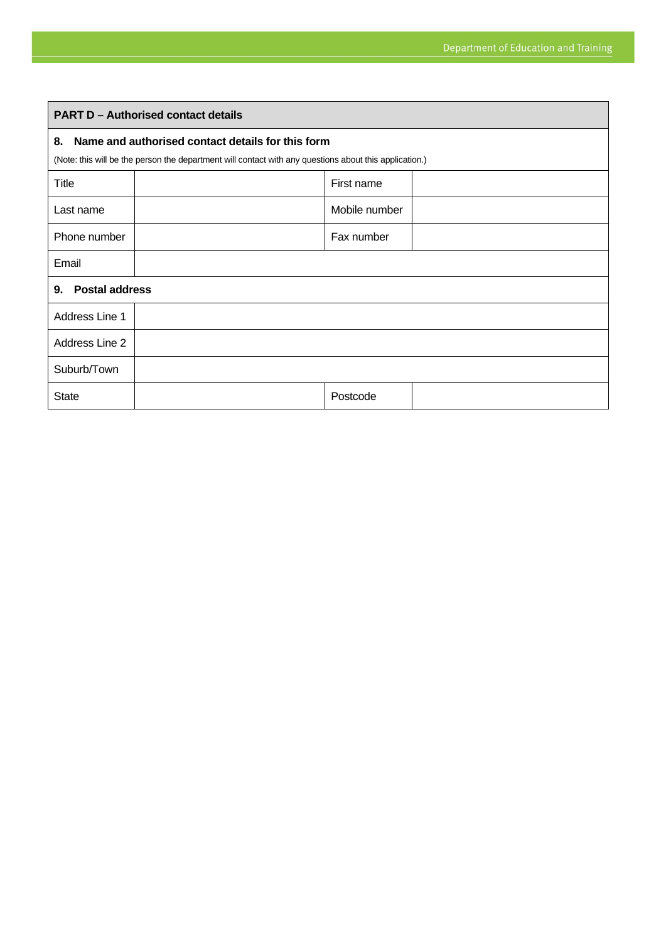| <b>PART D - Authorised contact details</b>                                                                                                                        |  |               |  |  |  |
|-------------------------------------------------------------------------------------------------------------------------------------------------------------------|--|---------------|--|--|--|
| Name and authorised contact details for this form<br>8.<br>(Note: this will be the person the department will contact with any questions about this application.) |  |               |  |  |  |
| <b>Title</b>                                                                                                                                                      |  | First name    |  |  |  |
| Last name                                                                                                                                                         |  | Mobile number |  |  |  |
| Phone number                                                                                                                                                      |  | Fax number    |  |  |  |
| Email                                                                                                                                                             |  |               |  |  |  |
| <b>Postal address</b><br>9.                                                                                                                                       |  |               |  |  |  |
| Address Line 1                                                                                                                                                    |  |               |  |  |  |
| Address Line 2                                                                                                                                                    |  |               |  |  |  |
| Suburb/Town                                                                                                                                                       |  |               |  |  |  |
| <b>State</b>                                                                                                                                                      |  | Postcode      |  |  |  |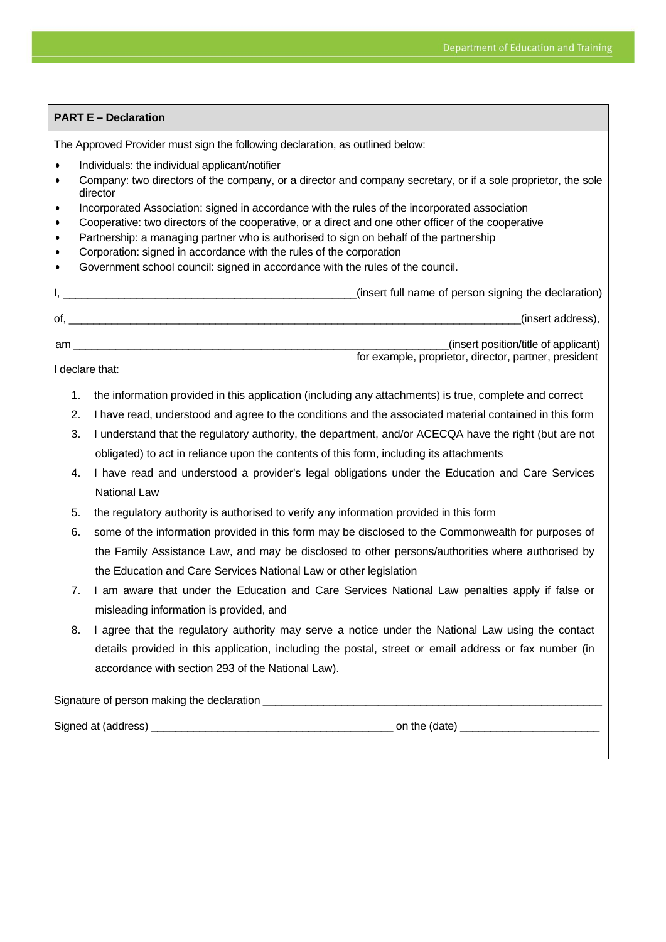### **PART E – Declaration**

The Approved Provider must sign the following declaration, as outlined below:

- Individuals: the individual applicant/notifier
- Company: two directors of the company, or a director and company secretary, or if a sole proprietor, the sole director
- Incorporated Association: signed in accordance with the rules of the incorporated association
- Cooperative: two directors of the cooperative, or a direct and one other officer of the cooperative
- Partnership: a managing partner who is authorised to sign on behalf of the partnership
- Corporation: signed in accordance with the rules of the corporation
- Government school council: signed in accordance with the rules of the council.

|    | (insert full name of person signing the declaration) |
|----|------------------------------------------------------|
| οf | (insert address),                                    |

am \_\_\_\_\_\_\_\_\_\_\_\_\_\_\_\_\_\_\_\_\_\_\_\_\_\_\_\_\_\_\_\_\_\_\_\_\_\_\_\_\_\_\_\_\_\_\_\_\_\_\_\_\_\_\_\_\_\_\_\_\_\_(insert position/title of applicant) for example, proprietor, director, partner, president

I declare that:

- 1. the information provided in this application (including any attachments) is true, complete and correct
- 2. I have read, understood and agree to the conditions and the associated material contained in this form
- 3. I understand that the regulatory authority, the department, and/or ACECQA have the right (but are not obligated) to act in reliance upon the contents of this form, including its attachments
- 4. I have read and understood a provider's legal obligations under the Education and Care Services National Law
- 5. the regulatory authority is authorised to verify any information provided in this form
- 6. some of the information provided in this form may be disclosed to the Commonwealth for purposes of the Family Assistance Law, and may be disclosed to other persons/authorities where authorised by the Education and Care Services National Law or other legislation
- 7. I am aware that under the Education and Care Services National Law penalties apply if false or misleading information is provided, and
- 8. I agree that the regulatory authority may serve a notice under the National Law using the contact details provided in this application, including the postal, street or email address or fax number (in accordance with section 293 of the National Law).

Signature of person making the declaration \_\_\_\_\_\_\_\_\_\_\_\_\_\_\_\_\_\_\_\_\_\_\_\_\_\_\_\_\_\_\_\_\_\_\_\_\_\_\_\_\_\_\_\_\_\_\_\_\_\_\_\_\_\_\_\_

Signed at (address) \_\_\_\_\_\_\_\_\_\_\_\_\_\_\_\_\_\_\_\_\_\_\_\_\_\_\_\_\_\_\_\_\_\_\_\_\_\_\_\_ on the (date) \_\_\_\_\_\_\_\_\_\_\_\_\_\_\_\_\_\_\_\_\_\_\_